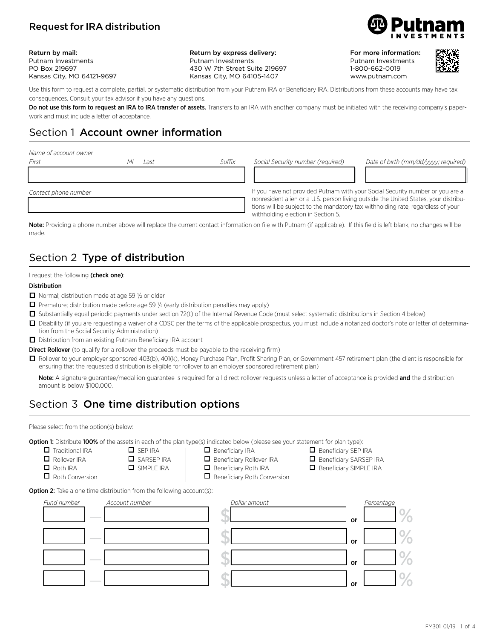## Request for IRA distribution

Return by mail: Putnam Investments PO Box 219697 Kansas City, MO 64121-9697 Return by express delivery: Putnam Investments 430 W 7th Street Suite 219697 Kansas City, MO 64105-1407



For more information: Putnam Investments 1-800-662-0019 www.putnam.com



Use this form to request a complete, partial, or systematic distribution from your Putnam IRA or Beneficiary IRA. Distributions from these accounts may have tax consequences. Consult your tax advisor if you have any questions.

Do not use this form to request an IRA to IRA transfer of assets. Transfers to an IRA with another company must be initiated with the receiving company's paperwork and must include a letter of acceptance.

# Section 1 Account owner information

| Name of account owner |
|-----------------------|
|-----------------------|

| First                | Last | Suffix | Social Security number (required)                                                                                     | Date of birth (mm/dd/yyyy; required)                                                                                                                                 |
|----------------------|------|--------|-----------------------------------------------------------------------------------------------------------------------|----------------------------------------------------------------------------------------------------------------------------------------------------------------------|
|                      |      |        |                                                                                                                       |                                                                                                                                                                      |
| Contact phone number |      |        | tions will be subject to the mandatory tax withholding rate, regardless of your<br>withholding election in Section 5. | If you have not provided Putnam with your Social Security number or you are a<br>nonresident alien or a U.S. person living outside the United States, your distribu- |

Note: Providing a phone number above will replace the current contact information on file with Putnam (if applicable). If this field is left blank, no changes will be made.

# Section 2 Type of distribution

### I request the following (check one):

### Distribution

- $\Box$  Normal; distribution made at age 59  $\frac{1}{2}$  or older
- $\Box$  Premature; distribution made before age 59  $\frac{1}{2}$  (early distribution penalties may apply)
- $\Box$  Substantially equal periodic payments under section 72(t) of the Internal Revenue Code (must select systematic distributions in Section 4 below)
- □ Disability (if you are requesting a waiver of a CDSC per the terms of the applicable prospectus, you must include a notarized doctor's note or letter of determination from the Social Security Administration)
- $\Box$  Distribution from an existing Putnam Beneficiary IRA account

Direct Rollover (to qualify for a rollover the proceeds must be payable to the receiving firm)

□ Rollover to your employer sponsored 403(b), 401(k), Money Purchase Plan, Profit Sharing Plan, or Government 457 retirement plan (the client is responsible for ensuring that the requested distribution is eligible for rollover to an employer sponsored retirement plan)

Note: A signature guarantee/medallion guarantee is required for all direct rollover requests unless a letter of acceptance is provided and the distribution amount is below \$100,000.

# Section 3 One time distribution options

Please select from the option(s) below:

Option 1: Distribute 100% of the assets in each of the plan type(s) indicated below (please see your statement for plan type):

- $\Box$  Traditional IRA
- $\Box$  Rollover IRA
- $\Box$  Roth IRA
- $\Box$  Roth Conversion
- **O** SIMPLE IRA

 $\Box$  SEP IRA  $\Box$  SARSEP IRA

- $\Box$  Beneficiary IRA  $\Box$  Beneficiary Rollover IRA
- $\Box$  Beneficiary Roth IRA

 $\Box$  Beneficiary Roth Conversion

- $\Box$  Beneficiary SEP IRA  $\Box$  Beneficiary SARSEP IRA  $\Box$  Beneficiary SIMPLE IRA
- 

**Option 2:** Take a one time distribution from the following account(s):

| Fund number |                                   | Account number | Dollar amount |    | Percentage |
|-------------|-----------------------------------|----------------|---------------|----|------------|
|             | <b>Contract Contract Contract</b> |                |               | or |            |
|             | <b>Contract Contract Contract</b> |                |               | or |            |
|             | <b>Contract Contract Contract</b> |                |               | or |            |
|             | <b>Contract Contract Contract</b> |                |               | or |            |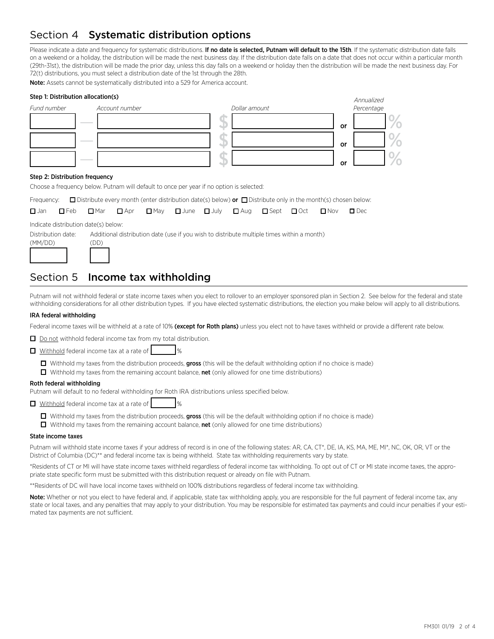# Section 4 Systematic distribution options

Please indicate a date and frequency for systematic distributions. If no date is selected, Putnam will default to the 15th. If the systematic distribution date falls on a weekend or a holiday, the distribution will be made the next business day. If the distribution date falls on a date that does not occur within a particular month (29th-31st), the distribution will be made the prior day, unless this day falls on a weekend or holiday then the distribution will be made the next business day. For 72(t) distributions, you must select a distribution date of the 1st through the 28th.

Note: Assets cannot be systematically distributed into a 529 for America account.

| Step 1: Distribution allocation(s)<br>Fund number | Account number | Dollar amount | Annualized<br>Percentage |
|---------------------------------------------------|----------------|---------------|--------------------------|
|                                                   |                |               | or                       |
|                                                   |                |               | or                       |
|                                                   |                |               | <b>or</b>                |

### Step 2: Distribution frequency

Choose a frequency below. Putnam will default to once per year if no option is selected:

| Frequency: $\Box$ Distribute every month (enter distribution date(s) below) <b>or</b> $\Box$ Distribute only in the month(s) chosen below: |  |  |  |  |  |
|--------------------------------------------------------------------------------------------------------------------------------------------|--|--|--|--|--|

|  |  |  |  |  | $\Box$ Jan $\Box$ Feb $\Box$ Mar $\Box$ Apr $\Box$ May $\Box$ June $\Box$ July $\Box$ Aug $\Box$ Sept $\Box$ Oct $\Box$ Nov $\Box$ Dec |  |
|--|--|--|--|--|----------------------------------------------------------------------------------------------------------------------------------------|--|

Indicate distribution date(s) below:

Distribution date: Additional distribution date (use if you wish to distribute multiple times within a month)

# $(DD)$ 1212 124

## Section 5 Income tax withholding

Putnam will not withhold federal or state income taxes when you elect to rollover to an employer sponsored plan in Section 2. See below for the federal and state withholding considerations for all other distribution types. If you have elected systematic distributions, the election you make below will apply to all distributions.

### IRA federal withholding

Federal income taxes will be withheld at a rate of 10% (except for Roth plans) unless you elect not to have taxes withheld or provide a different rate below.

 $\Box$  Do not withhold federal income tax from my total distribution.

 $\Box$  Withhold federal income tax at a rate of  $\Box$ 

- $\Box$  Withhold my taxes from the distribution proceeds, gross (this will be the default withholding option if no choice is made)
- $\Box$  Withhold my taxes from the remaining account balance, net (only allowed for one time distributions)

### Roth federal withholding

Putnam will default to no federal withholding for Roth IRA distributions unless specified below.

 $\Box$  Withhold federal income tax at a rate of  $\Box$ 

- $\Box$  Withhold my taxes from the distribution proceeds, gross (this will be the default withholding option if no choice is made)
- $\Box$  Withhold my taxes from the remaining account balance, net (only allowed for one time distributions)

#### State income taxes

Putnam will withhold state income taxes if your address of record is in one of the following states: AR, CA, CT\*, DE, IA, KS, MA, ME, MI\*, NC, OK, OR, VT or the District of Columbia (DC)\*\* and federal income tax is being withheld. State tax withholding requirements vary by state.

\*Residents of CT or MI will have state income taxes withheld regardless of federal income tax withholding. To opt out of CT or MI state income taxes, the appropriate state specific form must be submitted with this distribution request or already on file with Putnam.

\*\*Residents of DC will have local income taxes withheld on 100% distributions regardless of federal income tax withholding.

Note: Whether or not you elect to have federal and, if applicable, state tax withholding apply, you are responsible for the full payment of federal income tax, any state or local taxes, and any penalties that may apply to your distribution. You may be responsible for estimated tax payments and could incur penalties if your estimated tax payments are not sufficient.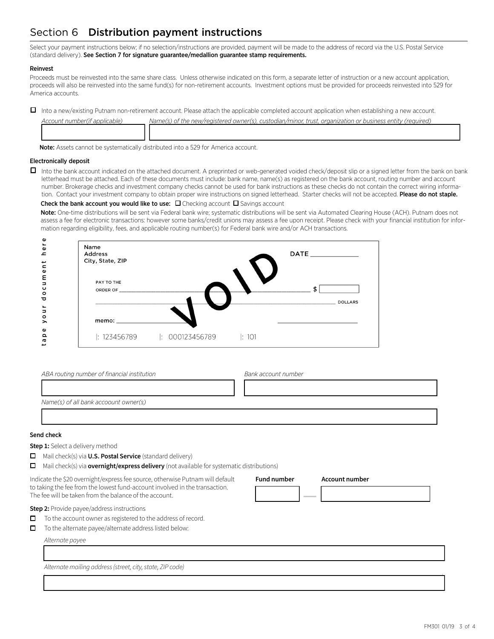# Section 6 Distribution payment instructions

Select your payment instructions below; if no selection/instructions are provided, payment will be made to the address of record via the U.S. Postal Service (standard delivery). See Section 7 for signature guarantee/medallion guarantee stamp requirements.

### Reinvest

Proceeds must be reinvested into the same share class. Unless otherwise indicated on this form, a separate letter of instruction or a new account application, proceeds will also be reinvested into the same fund(s) for non-retirement accounts. Investment options must be provided for proceeds reinvested into 529 for America accounts.

□ Into a new/existing Putnam non-retirement account. Please attach the applicable completed account application when establishing a new account.

| Account number (if applicable) | Name(s) of the new/registered owner(s), custodian/minor, trust, organization or business entity (required) |
|--------------------------------|------------------------------------------------------------------------------------------------------------|
|                                |                                                                                                            |
|                                |                                                                                                            |
|                                |                                                                                                            |

Note: Assets cannot be systematically distributed into a 529 for America account.

### Electronically deposit

 $\Box$  Into the bank account indicated on the attached document. A preprinted or web-generated voided check/deposit slip or a signed letter from the bank on bank letterhead must be attached. Each of these documents must include: bank name, name(s) as registered on the bank account, routing number and account number. Brokerage checks and investment company checks cannot be used for bank instructions as these checks do not contain the correct wiring information. Contact your investment company to obtain proper wire instructions on signed letterhead. Starter checks will not be accepted. Please do not staple.

Check the bank account you would like to use:  $\Box$  Checking account  $\Box$  Savings account

Note: One-time distributions will be sent via Federal bank wire; systematic distributions will be sent via Automated Clearing House (ACH). Putnam does not assess a fee for electronic transactions: however some banks/credit unions may assess a fee upon receipt. Please check with your financial institution for information regarding eligibility, fees, and applicable routing number(s) for Federal bank wire and/or ACH transactions.



| ABA routing number of financial institution | Bank account number |
|---------------------------------------------|---------------------|
|                                             |                     |
| Name(s) of all bank accoount owner(s)       |                     |
|                                             |                     |

13333333333333333333333333333333333334

**Fund number Account number**

12224 **—** 12222222224

### Send check

**Step 1:** Select a delivery method

- o Mail check(s) via **U.S. Postal Service** (standard delivery)
- **I** Mail check(s) via **overnight/express delivery** (not available for systematic distributions)

Indicate the \$20 overnight/express fee source, otherwise Putnam will default to taking the fee from the lowest fund-account involved in the transaction. The fee will be taken from the balance of the account.

**Step 2:** Provide payee/address instructions

- $\Box$  To the account owner as registered to the address of record.
- $\Box$  To the alternate payee/alternate address listed below:

*Alternate payee*

13333333333333333333333333333333333334 *Alternate mailing address (street, city, state, ZIP code)*